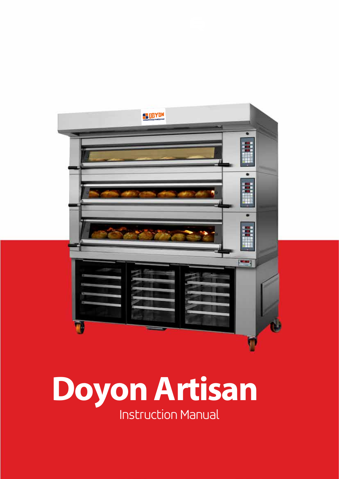

# **Doyon Artisan** Instruction Manual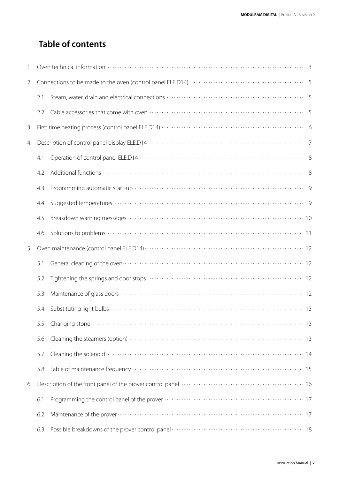### **Table of contents**

| 2. |     |                                                                          |  |  |
|----|-----|--------------------------------------------------------------------------|--|--|
|    | 2.1 |                                                                          |  |  |
|    | 2.2 |                                                                          |  |  |
| 3. |     |                                                                          |  |  |
| 4. |     |                                                                          |  |  |
|    | 4.1 |                                                                          |  |  |
|    | 4.2 |                                                                          |  |  |
|    | 4.3 |                                                                          |  |  |
|    | 4.4 |                                                                          |  |  |
|    | 4.5 | Breakdown warning messages www.www.www.www.www.www.www.www.www.wearu.org |  |  |
|    | 4.6 |                                                                          |  |  |
| 5. |     |                                                                          |  |  |
|    | 5.1 |                                                                          |  |  |
|    | 5.2 |                                                                          |  |  |
|    | 5.3 |                                                                          |  |  |
|    | 5.4 |                                                                          |  |  |
|    | 5.5 |                                                                          |  |  |
|    | 5.6 |                                                                          |  |  |
|    | 5.7 |                                                                          |  |  |
|    | 5.8 |                                                                          |  |  |
| 6. |     |                                                                          |  |  |
|    | 6.1 |                                                                          |  |  |
|    | 6.2 |                                                                          |  |  |
|    | 6.3 |                                                                          |  |  |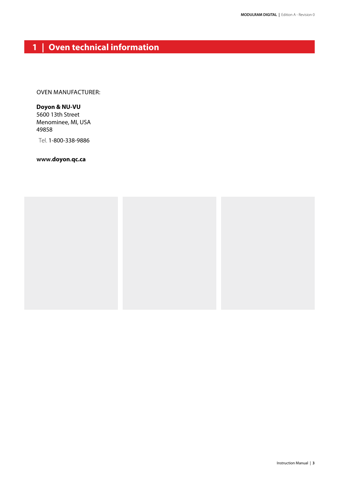### **1 | Oven technical information**

Oven ManufaCturer:

### **Doyon & NU-VU** 5600 13th Street

Menominee, MI, USA 49858

Tel. 1-800-338-9886

**www.doyon.qc.ca**

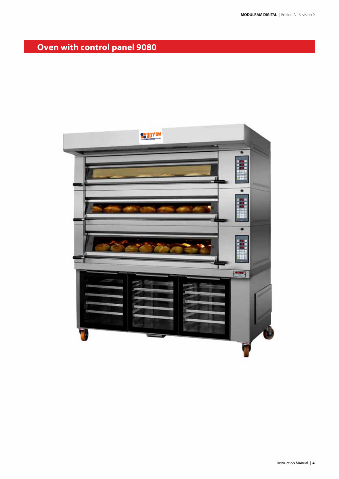## **Oven with control panel 9080**

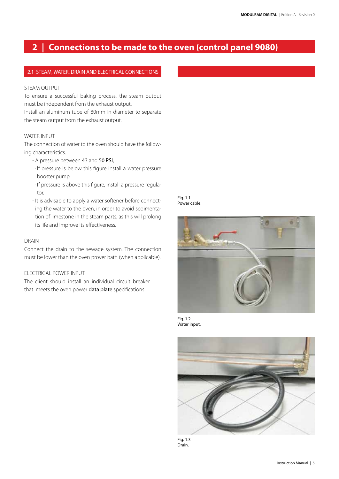### **2 | Connections to be made to the oven (control panel 9080)**

### 2.1 STEAM, WATER, DRAIN AND ELECTRICAL CONNECTIONS

### STEAM OUTPUT

To ensure a successful baking process, the steam output must be independent from the exhaust output.

Install an aluminum tube of 80mm in diameter to separate the steam output from the exhaust output.

### WATER INPUT

The connection of water to the oven should have the following characteristics:

- A pressure between 43 and 50 PSI;
- · If pressure is below this figure install a water pressure booster pump.
- · If pressure is above this figure, install a pressure regulator.
- It is advisable to apply a water softener before connecting the water to the oven, in order to avoid sedimentation of limestone in the steam parts, as this will prolong its life and improve its effectiveness.

### DRAIN

Connect the drain to the sewage system. The connection must be lower than the oven prover bath (when applicable).

### ELECTRICAL POWER INPUT

The client should install an individual circuit breaker that meets the oven power data plate specifications.

Fig. 1.1 Power cable.



Fig. 1.2 Water input.



Fig. 1.3 Drain.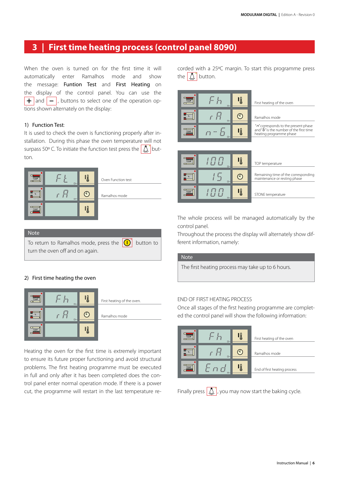### **3 | First time heating process (control panel 8090)**

When the oven is turned on for the first time it will automatically enter Ramalhos mode and show the message: Funtion Test and First Heating on the display of the control panel. You can use the  $+$  and  $-$ , buttons to select one of the operation options shown alternately on the display:

### 1) Function Test:

It is used to check the oven is functioning properly after installation. During this phase the oven temperature will not surpass 50° C. To initiate the function test press the  $\int \Lambda$  button.



### Note

To return to Ramalhos mode, press the  $\left| \bigcap \right|$  button to turn the oven off and on again.

### 2) First time heating the oven



Heating the oven for the first time is extremely important to ensure its future proper functioning and avoid structural problems. The first heating programme must be executed in full and only after it has been completed does the control panel enter normal operation mode. If there is a power cut, the programme will restart in the last temperature recorded with a 25ºC margin. To start this programme press the  $\left[\begin{array}{c} 1 \\ 0 \end{array}\right]$  button.



STONE temperature

The whole process will be managed automatically by the control panel.

Throughout the process the display will alternately show different information, namely:

### Note

The first heating process may take up to 6 hours.

### END OF FIRST HEATING PROCESS

Once all stages of the first heating programme are completed the control panel will show the following information:

| <b>TEMP</b> |        | Ę  | First heating of the oven    |
|-------------|--------|----|------------------------------|
|             | $\Box$ |    | Ramalhos mode                |
| <b>TEMP</b> |        | EI | End of first heating process |

Finally press  $\left[\bigwedge_{k=1}^{n} I_k\right]$ , you may now start the baking cycle.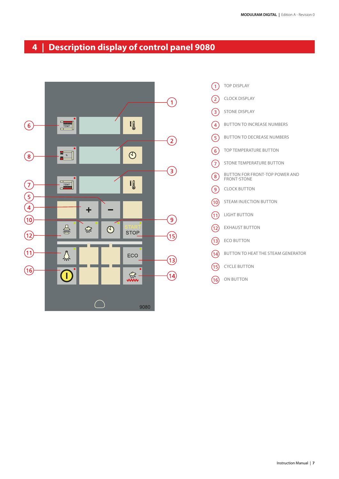### **4 | Description display of control panel 9080**



 $(1)$  $(2)$  $\left(3\right)$  $\binom{4}{}$  $\binom{5}{ }$  $(6)$  $\left( \overline{7}\right)$ 8  $\circ$  $\sqrt{10}$  $(1)$  $(12)$  $(13)$  $(14)$  $(15)$  $(16)$ TOP DISPLAY CLOCK DISPLAY STONE DISPLAY Button to increase numbers Button to decrease numbers TOP TEMPERATURE BUTTON STONE TEMPERATURE BUTTON Clock button Steam injection button Light button EXHAUST BUTTON **ECO BUTTON** Button to heat the steam generator CYCLE BUTTON ON BUTTON Button for front-TOP power and FRONT-STON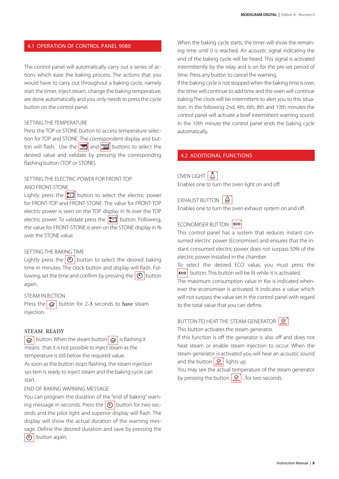#### 4.1 OPeratIOn Of COntrOL PaneL 9080

The control panel will automatically carry out a series of actions which ease the baking process. The actions that you would have to carry out throughout a baking cycle, namely start the timer, inject steam, change the baking temperature, are done automatically and you only needs to press the cycle button on the control panel.

### SETTING THE TEMPERATURE

Press the TOP or STONE button to access temperature selection for TOP and STONE. The correspondent display and but-**TEMP**  $\frac{1}{2}$  and  $\frac{1}{2}$  buttons to select the desired value and validate by pressing the corresponding flashing button (TOP or STONE).

### SETTING THE ELECTRIC POWER FOR FRONT-TOP

AND FRONT-STONE

Lightly press the  $\boxed{\cdot\cdot\cdot\cdot}$  button to select the electric power for FRONT-TOP and FRONT-STONE. The value for FRONT-TOP electric power is seen on the TOP display in % over the TOP electric power. To validate press the **button**. Following, the value for FRONT-STONE is seen on the STONE display in % over the STONE value.

### SETTING THE BAKING TIME

Lightly press the  $\odot$  button to select the desired baking time in minutes. The clock button and display will flash. Following, set the time and confirm by pressing the  $\Theta$  button again.

### STEAM INJECTION

Press the  $\left| \bigoplus \right|$  button for 2-3 seconds to have steam injection.

### STEAM READY

button. When the steam button  $\mathbb{R}^{\bullet}$  is flashing it means that it is not possible to inject steam as the temperature is still below the required value.

As soon as the button stops flashing, the steam injection sys-tem is ready to inject steam and the baking cycle can start.

END OF BAKING WARNING MESSAGE

You can program the duration of the "end of baking" warning message in seconds. Press the  $\mathcal{O}$  button for two seconds and the pilot light and superior display will flash. The display will show the actual duration of the warning message. Define the desired duration and save by pressing the  $\circ$  button again.

When the baking cycle starts, the timer will show the remaining time until 0 is reached. An acoustic signal indicating the end of the baking cycle will be heard. This signal is activated intermittently by the relay and is on for the pre-set period of time. Press any button to cancel the warning.

If the baking cycle is not stopped when the baking time is over, the timer will continue to add time and the oven will continue baking.The clock will be intermittent to alert you to this situation. In the following 2nd, 4th, 6th, 8th and 10th minutes the control panel will activate a brief intermittent warning sound. In the 10th minute the control panel ends the baking cycle automatically.

### 4.2 ADDITIONAL FUNCTIONS

OVEN LIGHT  $\boxed{\mathcal{L}}$ Enables one to turn the oven light on and off.

EXHAUST BUTTON

Enables one to turn the oven exhaust system on and off.

### ECONOMISER BUTTON ECO

This control panel has a system that reduces instant consumed electric power (Economiser) and ensures that the instant consumed electric power does not surpass 50% of the electric power installed in the chamber.

To select the desired ECO value, you must press the  $\left| \frac{\text{e}}{\text{e}} \right|$  button. This button will be lit while it is activated.

The maximum consumption value in Kw is indicated whenever the economiser is activated. It indicates a value which will not surpass the value set in the control panel with regard to the total value that you can define.

### **BUTTON TO HEAT THE STEAM GENERATOR**

This button activates the steam generator.

If this function is off the generator is also off and does not heat steam or enable steam injection to occur. When the steam generator is activated you will hear an acoustic sound and the button  $\left|\mathcal{R}\right|$  lights up.

You may see the actual temperature of the steam generator by pressing the button  $\left( \bigotimes_n \right)$ , for two seconds.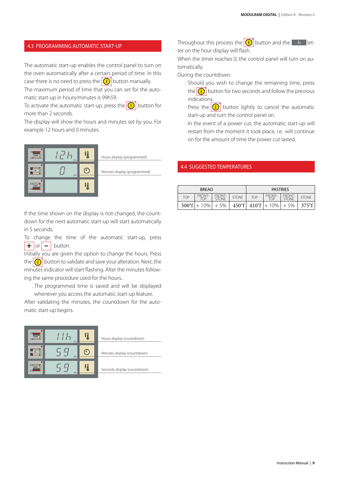### 4.3 Programming automatic start-up

The automatic start-up enables the control panel to turn on the oven automatically after a certain period of time. In this case there is no need to press the  $\Omega$  button manually.

The maximum period of time that you can set for the automatic start-up in hours/minutes is 99h59.

To activate the automatic start-up, press the  $\left| \bigcap \right|$  button for more than 2 seconds.

The display will show the hours and minutes set by you. For example 12 hours and 0 minutes.



Hours display (programmed)

Minutes display (programmed)

If the time shown on the display is not changed, the countdown for the next automatic start-up will start automatically in 5 seconds.

To change the time of the automatic start-up, press  $\overline{+}$  or  $\overline{-}$  button.

Initially you are given the option to change the hours. Press the  $\left| \bigcap \right|$  button to validate and save your alteration. Next, the minutes indicator will start flashing. Alter the minutes following the same procedure used for the hours..

. The programmed time is saved and will be displayed

whenever you access the automatic start-up feature.

After validating the minutes, the countdown for the automatic start-up begins.

| TEMP<br>$\Box$                                                          | $\Box -$ |   |
|-------------------------------------------------------------------------|----------|---|
| $\begin{array}{c} 8 \times 10^4 \\ 8 \times 10^4 \\ \hline \end{array}$ | $\Box -$ | ٨ |
| TEMP<br><b>SORGE</b>                                                    | $\Box -$ | S |

|  |  | Hours display (countdown) |
|--|--|---------------------------|

Minutes display (countdown)

Seconds display (countdown)

Throughout this process the  $\left| \bigcup \right|$  button and the  $\left| \bigcup \right|$  hetter on the hour display will flash.

When the timer reaches 0, the control panel will turn on automatically.

During the countdown:

- · Should you wish to change the remaining time, press the  $\boxed{\bigcap}$  button for two seconds and follow the previous indications.
- · Press the  $\left|\bigoplus\right|$  button lightly to cancel the automatic start-up and turn the control panel on.
- · In the event of a power cut, the automatic start-up will restart from the moment it took place, i.e.. will continue on for the amount of time the power cut lasted.

### **4.4 SUGGESTED TEMPERATURES**

|                 | <b>BREAD</b>         |                        |                 | <b>PASTRIES</b> |                       |                               |                 |
|-----------------|----------------------|------------------------|-----------------|-----------------|-----------------------|-------------------------------|-----------------|
| <b>TOP</b>      | <b>FRONT-</b><br>TOP | FRONT-<br><b>STONE</b> | <b>STONE</b>    | <b>TOP</b>      | FRONT-<br>TOP         | <b>FRONT-</b><br><b>STONE</b> | <b>STONE</b>    |
| $500^{\circ}$ f | 10%                  | $+5%$                  | $450^{\circ}$ f |                 | $410^{\circ}$ f + 10% | $+5%$                         | $375^{\circ}$ f |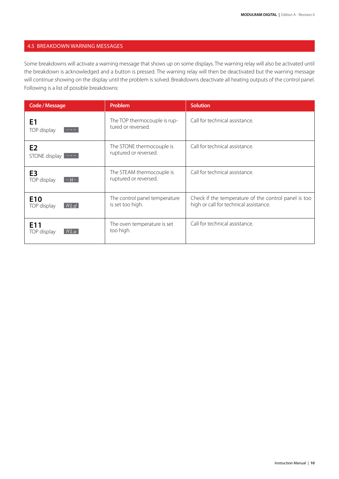### 4.5 BREAKDOWN WARNING MESSAGES

Some breakdowns will activate a warning message that shows up on some displays. The warning relay will also be activated until the breakdown is acknowledged and a button is pressed. The warning relay will then be deactivated but the warning message will continue showing on the display until the problem is solved. Breakdowns deactivate all heating outputs of the control panel. Following is a list of possible breakdowns:

| <b>Code / Message</b>                                                                | Problem                                            | <b>Solution</b>                                                                                |
|--------------------------------------------------------------------------------------|----------------------------------------------------|------------------------------------------------------------------------------------------------|
| E <sub>1</sub><br>TOP display<br>$\sim$ $\sim$ $\sim$                                | The TOP thermocouple is rup-<br>tured or reversed. | Call for technical assistance.                                                                 |
| E <sub>2</sub><br>STONE display $\left  \begin{array}{cc} - & - \end{array} \right $ | The STONE thermocouple is<br>ruptured or reversed. | Call for technical assistance.                                                                 |
| E <sub>3</sub><br>TOP display<br>$-H-$                                               | The STEAM thermocouple is<br>ruptured or reversed. | Call for technical assistance.                                                                 |
| E <sub>10</sub><br>[H L d]<br>TOP display                                            | The control panel temperature<br>is set too high.  | Check if the temperature of the control panel is too<br>high or call for technical assistance. |
| E <sub>11</sub><br>Hto<br>TOP display                                                | The oven temperature is set<br>too high.           | Call for technical assistance.                                                                 |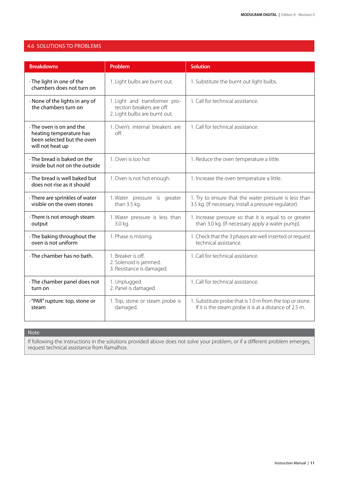### 4.6 Solutions to problems

| <b>Breakdowns</b>                                                                                           | Problem                                                                                     | <b>Solution</b>                                                                                                    |
|-------------------------------------------------------------------------------------------------------------|---------------------------------------------------------------------------------------------|--------------------------------------------------------------------------------------------------------------------|
| · The light in one of the<br>chambers does not turn on                                                      | 1. Light bulbs are burnt out.                                                               | 1. Substitute the burnt out light bulbs.                                                                           |
| · None of the lights in any of<br>the chambers turn on                                                      | 1. Light and transformer pro-<br>tection breakers are off.<br>2. Light bulbs are burnt out. | 1. Call for technical assistance.                                                                                  |
| $\cdot$ The oven is on and the<br>heating temperature has<br>been selected but the oven<br>will not heat up | 1. Oven's internal breakers are<br>off.                                                     | 1. Call for technical assistance.                                                                                  |
| · The bread is baked on the<br>inside but not on the outside                                                | 1. Oven is too hot                                                                          | 1. Reduce the oven temperature a little.                                                                           |
| · The bread is well baked but<br>does not rise as it should                                                 | 1. Oven is not hot enough.                                                                  | 1. Increase the oven temperature a little.                                                                         |
| · There are sprinkles of water<br>visible on the oven stones                                                | 1. Water pressure is greater<br>than 3.5 kg.                                                | 1. Try to ensure that the water pressure is less than<br>3.5 kg. (If necessary, install a pressure regulator).     |
| · There is not enough steam<br>output                                                                       | 1. Water pressure is less than<br>3.0 kg.                                                   | 1. Increase pressure so that it is equal to or greater<br>than 3.0 kg. (If necessary apply a water pump).          |
| · The baking throughout the<br>oven is not uniform                                                          | 1. Phase is missing.                                                                        | 1. Check that the 3 phases are well inserted or request<br>technical assistance.                                   |
| · The chamber has no bath.                                                                                  | 1. Breaker is off.<br>2. Solenoid is jammed.<br>3. Resistance is damaged.                   | 1. Call for technical assistance.                                                                                  |
| · The chamber panel does not<br>turn on                                                                     | 1. Unplugged.<br>2. Panel is damaged.                                                       | 1. Call for technical assistance.                                                                                  |
| · "PAR" rupture: top, stone or<br>steam                                                                     | 1. Top, stone or steam probe is<br>damaged.                                                 | 1. Substitute probe that is 1.0 m from the top or stone.<br>If it is the steam probe it is at a distance of 2.5 m. |

Note

If following the instructions in the solutions provided above does not solve your problem, or if a different problem emerges, request technical assistance from Ramalhos.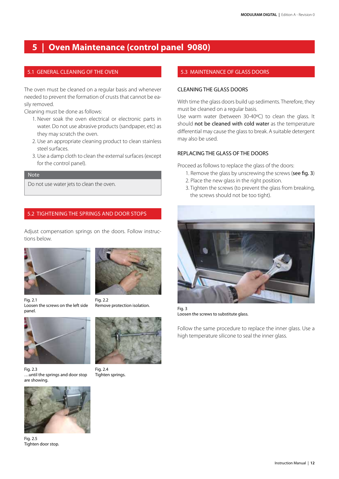### **5 | Oven Maintenance (control panel 9080)**

### 5.1 GENERAL CLEANING OF THE OVEN

The oven must be cleaned on a regular basis and whenever needed to prevent the formation of crusts that cannot be easily removed.

Cleaning must be done as follows:

- 1. Never soak the oven electrical or electronic parts in water. Do not use abrasive products (sandpaper, etc) as they may scratch the oven.
- 2. Use an appropriate cleaning product to clean stainless steel surfaces.
- 3. Use a damp cloth to clean the external surfaces (except for the control panel).

#### Note

Do not use water jets to clean the oven.

### 5.2 Tightening the springs and door stops

Adjust compensation springs on the doors. Follow instructions below.

Fig. 2.2



Remove protection isolation.

Fig. 2.1 Loosen the screws on the left side panel.



Fig. 2.3 …until the springs and door stop are showing.



Fig. 2.5 Tighten door stop.



Tighten springs.

### 5.3 MAINTENANCE OF GLASS DOORS

### CLEANING THE GLASS DOORS

With time the glass doors build up sediments. Therefore, they must be cleaned on a regular basis.

Use warm water (between 30-40ºC) to clean the glass. It should not be cleaned with cold water as the temperature differential may cause the glass to break. A suitable detergent may also be used.

### REPLACING THE GLASS OF THE DOORS

Proceed as follows to replace the glass of the doors:

- 1. Remove the glass by unscrewing the screws (see fig. 3)
- 2. Place the new glass in the right position.
- 3. Tighten the screws (to prevent the glass from breaking, the screws should not be too tight).



Fig. 3 Loosen the screws to substitute glass.

Follow the same procedure to replace the inner glass. Use a high temperature silicone to seal the inner glass.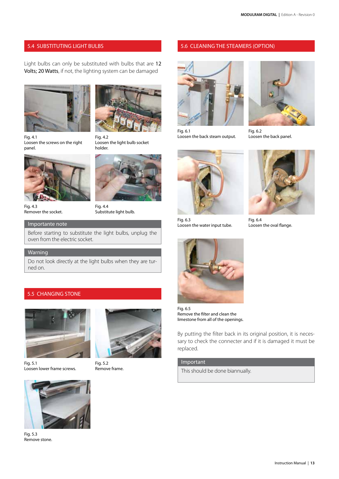### 5.4 SUBSTITUTING LIGHT BULBS 5.6 CLEANING THE STEAMERS (OPTION)

Light bulbs can only be substituted with bulbs that are 12 Volts; 20 Watts, if not, the lighting system can be damaged

Fig. 4.2

holder.





Loosen the light bulb socket

Fig. 4.1 Loosen the screws on the right panel.



Fig. 4.3 Remover the socket.



### Importante note

Before starting to substitute the light bulbs, unplug the oven from the electric socket.

### **Warning**

Do not look directly at the light bulbs when they are turned on.

### 5.5 CHANGING STONE



Fig. 5.1 Loosen lower frame screws.



Fig. 5.2 Remove frame.



Fig. 6.1 Loosen the back steam output.



Fig. 6.2 Loosen the back panel.



Fig. 6.3 Loosen the water input tube.



Fig. 6.5 Remove the filter and clean the limestone from all of the openings.

By putting the filter back in its original position, it is necessary to check the connecter and if it is damaged it must be replaced.

#### Important

This should be done biannually.



Fig. 6.4 Loosen the oval flange.

Instruction Manual | **13**



Fig. 5.3 Remove stone.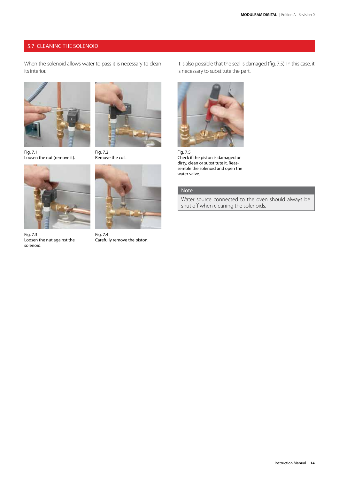### 5.7 CLEANING THE SOLENOID

When the solenoid allows water to pass it is necessary to clean its interior.



Fig. 7.1 Loosen the nut (remove it).



Fig. 7.3 Loosen the nut against the solenoid.



Fig. 7.2 Remove the coil.



Fig. 7.4 Carefully remove the piston.

It is also possible that the seal is damaged (fig. 7.5). In this case, it is necessary to substitute the part.



Fig. 7.5 Check if the piston is damaged or dirty, clean or substitute it. Reassemble the solenoid and open the water valve.

### Note

Water source connected to the oven should always be shut off when cleaning the solenoids.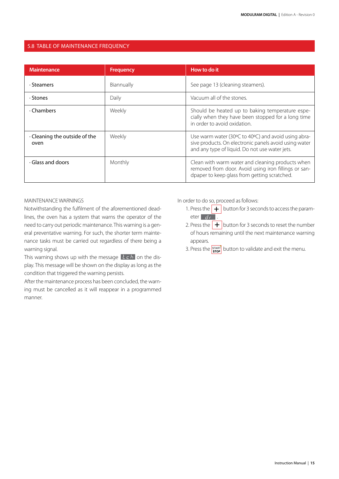### 5.8 Table of maintenance frequency

| <b>Maintenance</b>                          | <b>Frequency</b> | How to do it                                                                                                                                                   |
|---------------------------------------------|------------------|----------------------------------------------------------------------------------------------------------------------------------------------------------------|
| · Steamers                                  | Biannually       | See page 13 (cleaning steamers).                                                                                                                               |
| . Stones                                    | Daily            | Vacuum all of the stones.                                                                                                                                      |
| . Chambers                                  | Weekly           | Should be heated up to baking temperature espe-<br>cially when they have been stopped for a long time<br>in order to avoid oxidation.                          |
| $\cdot$ Cleaning the outside of the<br>oven | Weekly           | Use warm water (30°C to 40°C) and avoid using abra-<br>sive products. On electronic panels avoid using water<br>and any type of liquid. Do not use water jets. |
| Glass and doors                             | Monthly          | Clean with warm water and cleaning products when<br>removed from door. Avoid using iron fillings or san-<br>dpaper to keep glass from getting scratched.       |

### MAINTENANCE WARNINGS

Notwithstanding the fulfilment of the aforementioned deadlines, the oven has a system that warns the operator of the need to carry out periodic maintenance. This warning is a general preventative warning. For such, the shorter term maintenance tasks must be carried out regardless of there being a warning signal.

This warning shows up with the message  $\lfloor t\ c\ h \rfloor$  on the display. This message will be shown on the display as long as the condition that triggered the warning persists.

After the maintenance process has been concluded, the warning must be cancelled as it will reappear in a programmed manner.

In order to do so, proceed as follows:

- 1. Press the  $\boxed{+}$  button for 3 seconds to access the parameter dr
- 2. Press the  $\boxed{+}$  button for 3 seconds to reset the number of hours remaining until the next maintenance warning appears.
- 3. Press the  $\frac{\text{start}}{\text{stop}}$  button to validate and exit the menu.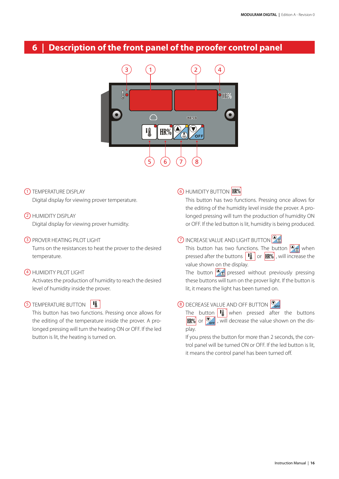### **6 | Description of the front panel of the proofer control panel**



- 1) TEMPERATURE DISPLAY Digital display for viewing prover temperature.
- 2) HUMIDITY DISPLAY

Digital display for viewing prover humidity.

### 3) PROVER HEATING PILOT LIGHT

Turns on the resistances to heat the prover to the desired temperature.

### 4) HUMIDITY PILOT LIGHT

Activates the production of humidity to reach the desired level of humidity inside the prover.



This button has two functions. Pressing once allows for the editing of the temperature inside the prover. A prolonged pressing will turn the heating ON or OFF. If the led button is lit, the heating is turned on.

### 6) HUMIDITY BUTTON

This button has two functions. Pressing once allows for the editing of the humidity level inside the prover. A prolonged pressing will turn the production of humidity ON or OFF. If the led button is lit, humidity is being produced.

### 7) INCREASE VALUE AND LIGHT BUTTON

This button has two functions. The button  $\circledcirc_{\Phi}$  when pressed after the buttons  $\begin{bmatrix} \mathbf{F} \\ \mathbf{F} \end{bmatrix}$  or  $\begin{bmatrix} \mathbf{H} \mathbf{R} \hat{\mathbf{w}} \end{bmatrix}$ , will increase the value shown on the display.

The button  $\mathcal{D}_{\mathbf{\Omega}}$  pressed without previously pressing these buttons will turn on the prover light. If the button is lit, it means the light has been turned on.

### 8) DECREASE VALUE AND OFF BUTTON

The button  $\boxed{\phantom{a} \blacksquare}$  when pressed after the buttons  $\boxed{\text{HR}\%}$  or  $\boxed{\text{O}_{\text{off}}}$ , will decrease the value shown on the display.

If you press the button for more than 2 seconds, the control panel will be turned ON or OFF. If the led button is lit, it means the control panel has been turned off.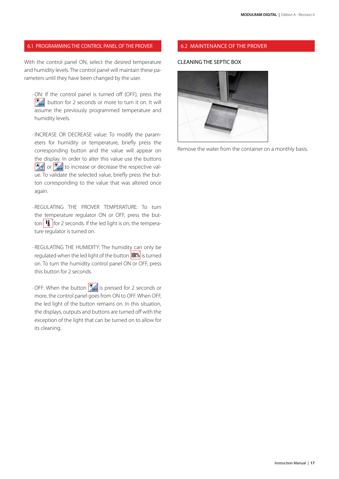#### 6.1 Programming the control panel of the prover 6.2 Maintenance of the prover

With the control panel ON, select the desired temperature and humidity levels. The control panel will maintain these parameters until they have been changed by the user.

 · ON: If the control panel is turned off (OFF), press the  $\bigotimes_{\mathsf{def}}$  button for 2 seconds or more to turn it on. It will assume the previously programmed temperature and humidity levels.

 · INCREASE OR DECREASE value: To modify the parameters for humidity or temperature, briefly press the corresponding button and the value will appear on the display. In order to alter this value use the buttons  $\circledcirc$  or  $\circledcirc_{\text{off}}$  to increase or decrease the respective value. To validate the selected value, briefly press the button corresponding to the value that was altered once again.

 · REGULATING THE PROVER TEMPERATURE: To turn the temperature regulator ON or OFF, press the button  $\left[\mathbf{H}\right]$  for 2 seconds. If the led light is on, the temperature regulator is turned on.

 · REGULATING THE HUMIDITY: The humidity can only be regulated when the led light of the button  $H\mathbb{R}\%$  is turned on. To turn the humidity control panel ON or OFF, press this button for 2 seconds.

 $\cdot$  OFF: When the button  $\overline{\mathcal{O}_{\text{off}}}$  is pressed for 2 seconds or more, the control panel goes from ON to OFF. When OFF, the led light of the button remains on. In this situation, the displays, outputs and buttons are turned off with the exception of the light that can be turned on to allow for its cleaning.

### CLEANING THE SEPTIC BOX



Remove the water from the container on a monthly basis.